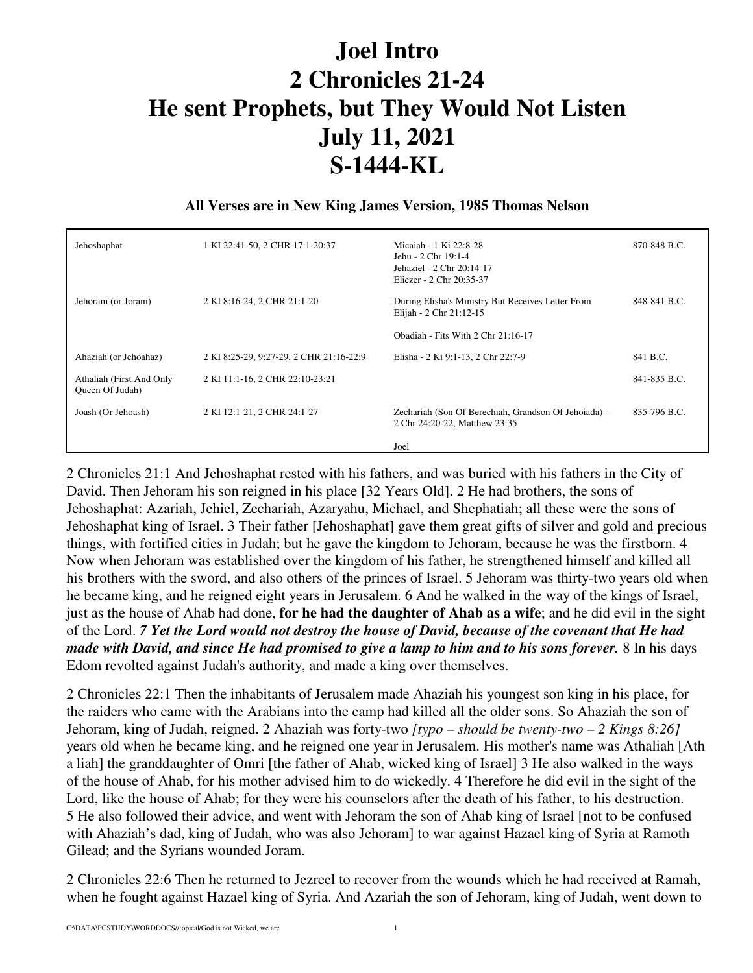## **Joel Intro 2 Chronicles 21-24 He sent Prophets, but They Would Not Listen July 11, 2021 S-1444-KL**

## **All Verses are in New King James Version, 1985 Thomas Nelson**

| Jehoshaphat                                 | 1 KI 22:41-50, 2 CHR 17:1-20:37         | Micaiah - 1 Ki 22:8-28<br>Jehu - 2 Chr 19:1-4<br>Jehaziel - 2 Chr 20:14-17<br>Eliezer - 2 Chr 20:35-37 | 870-848 B.C. |
|---------------------------------------------|-----------------------------------------|--------------------------------------------------------------------------------------------------------|--------------|
| Jehoram (or Joram)                          | 2 KI 8:16-24, 2 CHR 21:1-20             | During Elisha's Ministry But Receives Letter From<br>Elijah - 2 Chr 21:12-15                           | 848-841 B.C. |
|                                             |                                         | Obadiah - Fits With $2$ Chr $21:16-17$                                                                 |              |
| Ahaziah (or Jehoahaz)                       | 2 KI 8:25-29, 9:27-29, 2 CHR 21:16-22:9 | Elisha - 2 Ki 9:1-13, 2 Chr 22:7-9                                                                     | 841 B.C.     |
| Athaliah (First And Only<br>Queen Of Judah) | 2 KI 11:1-16, 2 CHR 22:10-23:21         |                                                                                                        | 841-835 B.C. |
| Joash (Or Jehoash)                          | 2 KI 12:1-21, 2 CHR 24:1-27             | Zechariah (Son Of Berechiah, Grandson Of Jehoiada) -<br>2 Chr 24:20-22, Matthew 23:35                  | 835-796 B.C. |
|                                             |                                         | Joel                                                                                                   |              |

2 Chronicles 21:1 And Jehoshaphat rested with his fathers, and was buried with his fathers in the City of David. Then Jehoram his son reigned in his place [32 Years Old]. 2 He had brothers, the sons of Jehoshaphat: Azariah, Jehiel, Zechariah, Azaryahu, Michael, and Shephatiah; all these were the sons of Jehoshaphat king of Israel. 3 Their father [Jehoshaphat] gave them great gifts of silver and gold and precious things, with fortified cities in Judah; but he gave the kingdom to Jehoram, because he was the firstborn. 4 Now when Jehoram was established over the kingdom of his father, he strengthened himself and killed all his brothers with the sword, and also others of the princes of Israel. 5 Jehoram was thirty-two years old when he became king, and he reigned eight years in Jerusalem. 6 And he walked in the way of the kings of Israel, just as the house of Ahab had done, **for he had the daughter of Ahab as a wife**; and he did evil in the sight of the Lord. *7 Yet the Lord would not destroy the house of David, because of the covenant that He had made with David, and since He had promised to give a lamp to him and to his sons forever.* 8 In his days Edom revolted against Judah's authority, and made a king over themselves.

2 Chronicles 22:1 Then the inhabitants of Jerusalem made Ahaziah his youngest son king in his place, for the raiders who came with the Arabians into the camp had killed all the older sons. So Ahaziah the son of Jehoram, king of Judah, reigned. 2 Ahaziah was forty-two *[typo – should be twenty-two – 2 Kings 8:26]*  years old when he became king, and he reigned one year in Jerusalem. His mother's name was Athaliah [Ath a liah] the granddaughter of Omri [the father of Ahab, wicked king of Israel] 3 He also walked in the ways of the house of Ahab, for his mother advised him to do wickedly. 4 Therefore he did evil in the sight of the Lord, like the house of Ahab; for they were his counselors after the death of his father, to his destruction. 5 He also followed their advice, and went with Jehoram the son of Ahab king of Israel [not to be confused with Ahaziah's dad, king of Judah, who was also Jehoram] to war against Hazael king of Syria at Ramoth Gilead; and the Syrians wounded Joram.

2 Chronicles 22:6 Then he returned to Jezreel to recover from the wounds which he had received at Ramah, when he fought against Hazael king of Syria. And Azariah the son of Jehoram, king of Judah, went down to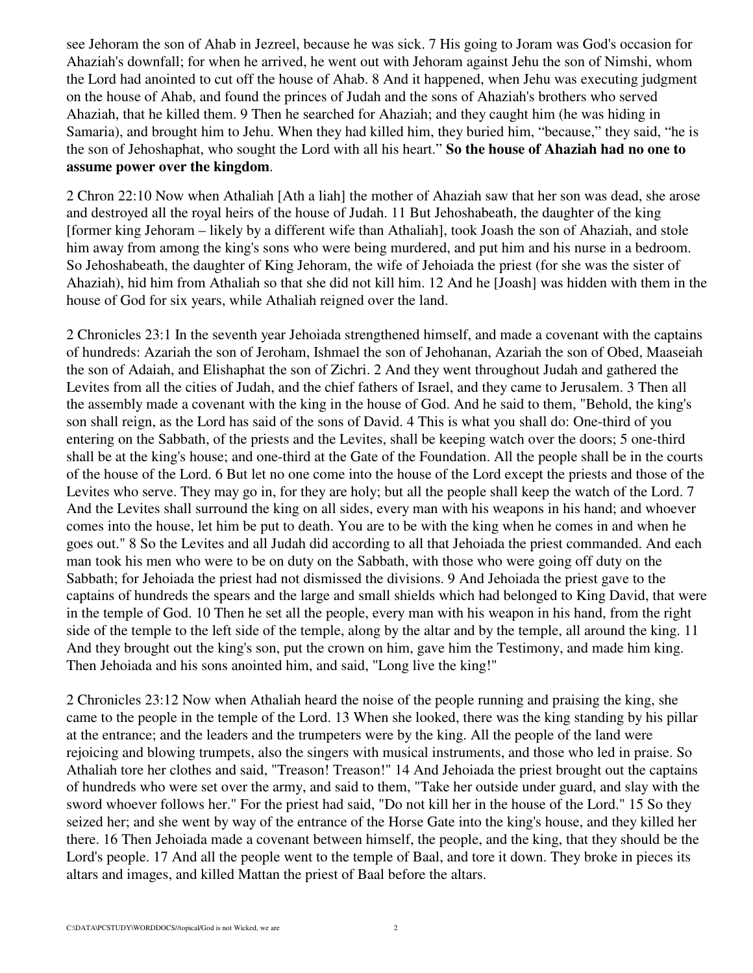see Jehoram the son of Ahab in Jezreel, because he was sick. 7 His going to Joram was God's occasion for Ahaziah's downfall; for when he arrived, he went out with Jehoram against Jehu the son of Nimshi, whom the Lord had anointed to cut off the house of Ahab. 8 And it happened, when Jehu was executing judgment on the house of Ahab, and found the princes of Judah and the sons of Ahaziah's brothers who served Ahaziah, that he killed them. 9 Then he searched for Ahaziah; and they caught him (he was hiding in Samaria), and brought him to Jehu. When they had killed him, they buried him, "because," they said, "he is the son of Jehoshaphat, who sought the Lord with all his heart." **So the house of Ahaziah had no one to assume power over the kingdom**.

2 Chron 22:10 Now when Athaliah [Ath a liah] the mother of Ahaziah saw that her son was dead, she arose and destroyed all the royal heirs of the house of Judah. 11 But Jehoshabeath, the daughter of the king [former king Jehoram – likely by a different wife than Athaliah], took Joash the son of Ahaziah, and stole him away from among the king's sons who were being murdered, and put him and his nurse in a bedroom. So Jehoshabeath, the daughter of King Jehoram, the wife of Jehoiada the priest (for she was the sister of Ahaziah), hid him from Athaliah so that she did not kill him. 12 And he [Joash] was hidden with them in the house of God for six years, while Athaliah reigned over the land.

2 Chronicles 23:1 In the seventh year Jehoiada strengthened himself, and made a covenant with the captains of hundreds: Azariah the son of Jeroham, Ishmael the son of Jehohanan, Azariah the son of Obed, Maaseiah the son of Adaiah, and Elishaphat the son of Zichri. 2 And they went throughout Judah and gathered the Levites from all the cities of Judah, and the chief fathers of Israel, and they came to Jerusalem. 3 Then all the assembly made a covenant with the king in the house of God. And he said to them, "Behold, the king's son shall reign, as the Lord has said of the sons of David. 4 This is what you shall do: One-third of you entering on the Sabbath, of the priests and the Levites, shall be keeping watch over the doors; 5 one-third shall be at the king's house; and one-third at the Gate of the Foundation. All the people shall be in the courts of the house of the Lord. 6 But let no one come into the house of the Lord except the priests and those of the Levites who serve. They may go in, for they are holy; but all the people shall keep the watch of the Lord. 7 And the Levites shall surround the king on all sides, every man with his weapons in his hand; and whoever comes into the house, let him be put to death. You are to be with the king when he comes in and when he goes out." 8 So the Levites and all Judah did according to all that Jehoiada the priest commanded. And each man took his men who were to be on duty on the Sabbath, with those who were going off duty on the Sabbath; for Jehoiada the priest had not dismissed the divisions. 9 And Jehoiada the priest gave to the captains of hundreds the spears and the large and small shields which had belonged to King David, that were in the temple of God. 10 Then he set all the people, every man with his weapon in his hand, from the right side of the temple to the left side of the temple, along by the altar and by the temple, all around the king. 11 And they brought out the king's son, put the crown on him, gave him the Testimony, and made him king. Then Jehoiada and his sons anointed him, and said, "Long live the king!"

2 Chronicles 23:12 Now when Athaliah heard the noise of the people running and praising the king, she came to the people in the temple of the Lord. 13 When she looked, there was the king standing by his pillar at the entrance; and the leaders and the trumpeters were by the king. All the people of the land were rejoicing and blowing trumpets, also the singers with musical instruments, and those who led in praise. So Athaliah tore her clothes and said, "Treason! Treason!" 14 And Jehoiada the priest brought out the captains of hundreds who were set over the army, and said to them, "Take her outside under guard, and slay with the sword whoever follows her." For the priest had said, "Do not kill her in the house of the Lord." 15 So they seized her; and she went by way of the entrance of the Horse Gate into the king's house, and they killed her there. 16 Then Jehoiada made a covenant between himself, the people, and the king, that they should be the Lord's people. 17 And all the people went to the temple of Baal, and tore it down. They broke in pieces its altars and images, and killed Mattan the priest of Baal before the altars.